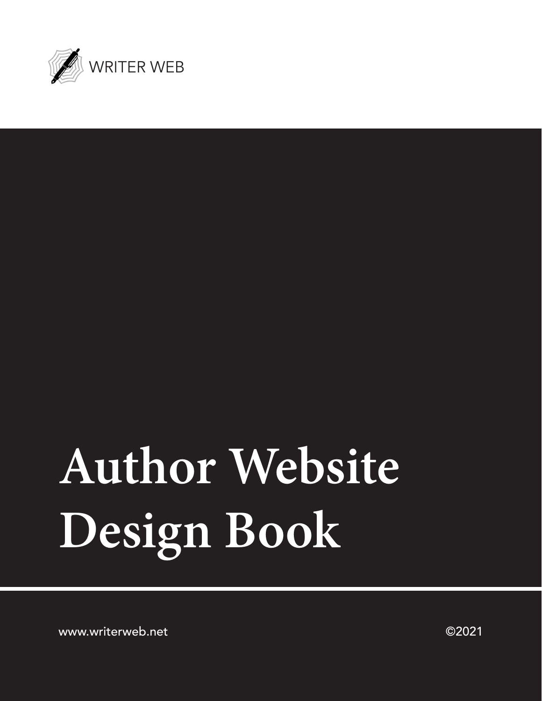

# **Author Website Design Book**

www.writerweb.net ©2021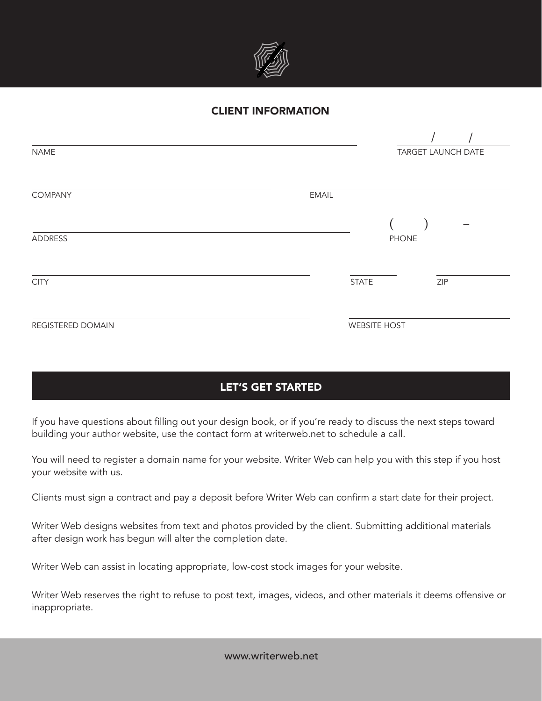

### CLIENT INFORMATION

| <b>NAME</b>       |              | TARGET LAUNCH DATE  |              |     |  |
|-------------------|--------------|---------------------|--------------|-----|--|
|                   |              |                     |              |     |  |
| COMPANY           | <b>EMAIL</b> |                     |              |     |  |
|                   |              |                     |              |     |  |
| ADDRESS           |              |                     | <b>PHONE</b> |     |  |
|                   |              |                     |              |     |  |
| <b>CITY</b>       |              | <b>STATE</b>        |              | ZIP |  |
|                   |              |                     |              |     |  |
| REGISTERED DOMAIN |              | <b>WEBSITE HOST</b> |              |     |  |

# LET'S GET STARTED

If you have questions about filling out your design book, or if you're ready to discuss the next steps toward building your author website, use the contact form at writerweb.net to schedule a call.

You will need to register a domain name for your website. Writer Web can help you with this step if you host your website with us.

Clients must sign a contract and pay a deposit before Writer Web can confirm a start date for their project.

Writer Web designs websites from text and photos provided by the client. Submitting additional materials after design work has begun will alter the completion date.

Writer Web can assist in locating appropriate, low-cost stock images for your website.

Writer Web reserves the right to refuse to post text, images, videos, and other materials it deems offensive or inappropriate.

www.writerweb.net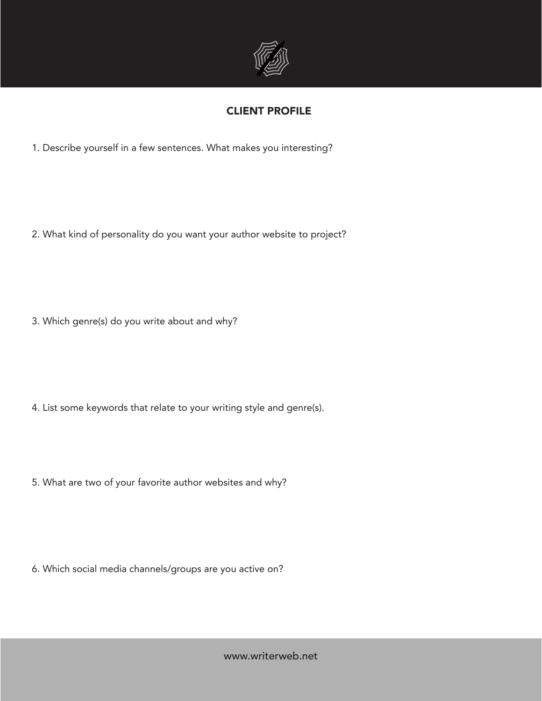

# CLIENT PROFILE

1. Describe yourself in a few sentences. What makes you interesting?

2. What kind of personality do you want your author website to project?

3. Which genre(s) do you write about and why?

4. List some keywords that relate to your writing style and genre(s).

5. What are two of your favorite author websites and why?

6. Which social media channels/groups are you active on?

www.writerweb.net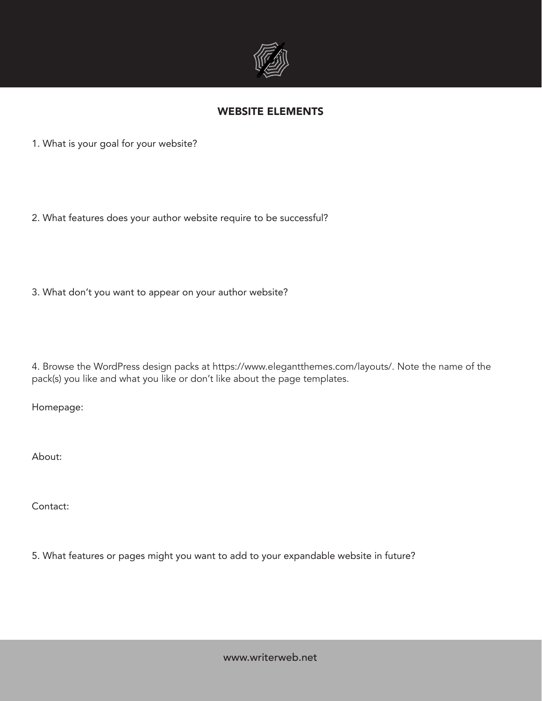

### WEBSITE ELEMENTS

1. What is your goal for your website?

2. What features does your author website require to be successful?

3. What don't you want to appear on your author website?

4. Browse the WordPress design packs at https://www.elegantthemes.com/layouts/. Note the name of the pack(s) you like and what you like or don't like about the page templates.

Homepage:

About:

Contact:

5. What features or pages might you want to add to your expandable website in future?

www.writerweb.net